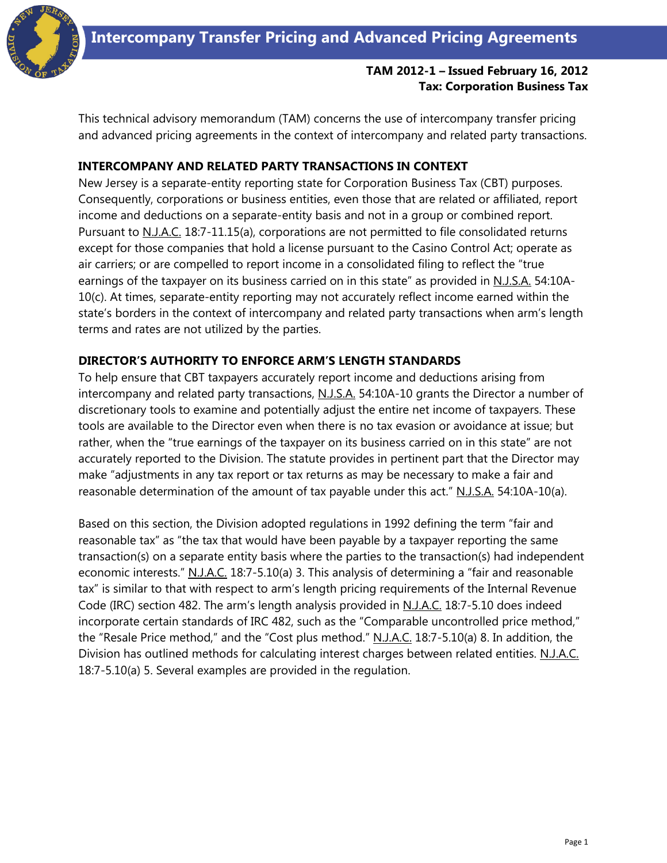

# **TAM 2012-1 – Issued February 16, 2012 Tax: Corporation Business Tax**

This technical advisory memorandum (TAM) concerns the use of intercompany transfer pricing and advanced pricing agreements in the context of intercompany and related party transactions.

### **INTERCOMPANY AND RELATED PARTY TRANSACTIONS IN CONTEXT**

New Jersey is a separate-entity reporting state for Corporation Business Tax (CBT) purposes. Consequently, corporations or business entities, even those that are related or affiliated, report income and deductions on a separate-entity basis and not in a group or combined report. Pursuant to N.J.A.C. 18:7-11.15(a), corporations are not permitted to file consolidated returns except for those companies that hold a license pursuant to the Casino Control Act; operate as air carriers; or are compelled to report income in a consolidated filing to reflect the "true earnings of the taxpayer on its business carried on in this state" as provided in N.J.S.A. 54:10A-10(c). At times, separate-entity reporting may not accurately reflect income earned within the state's borders in the context of intercompany and related party transactions when arm's length terms and rates are not utilized by the parties.

#### **DIRECTOR'S AUTHORITY TO ENFORCE ARM'S LENGTH STANDARDS**

To help ensure that CBT taxpayers accurately report income and deductions arising from intercompany and related party transactions, N.J.S.A. 54:10A-10 grants the Director a number of discretionary tools to examine and potentially adjust the entire net income of taxpayers. These tools are available to the Director even when there is no tax evasion or avoidance at issue; but rather, when the "true earnings of the taxpayer on its business carried on in this state" are not accurately reported to the Division. The statute provides in pertinent part that the Director may make "adjustments in any tax report or tax returns as may be necessary to make a fair and reasonable determination of the amount of tax payable under this act." N.J.S.A. 54:10A-10(a).

Based on this section, the Division adopted regulations in 1992 defining the term "fair and reasonable tax" as "the tax that would have been payable by a taxpayer reporting the same transaction(s) on a separate entity basis where the parties to the transaction(s) had independent economic interests." N.J.A.C. 18:7-5.10(a) 3. This analysis of determining a "fair and reasonable tax" is similar to that with respect to arm's length pricing requirements of the Internal Revenue Code (IRC) section 482. The arm's length analysis provided in N.J.A.C. 18:7-5.10 does indeed incorporate certain standards of IRC 482, such as the "Comparable uncontrolled price method," the "Resale Price method," and the "Cost plus method." N.J.A.C. 18:7-5.10(a) 8. In addition, the Division has outlined methods for calculating interest charges between related entities. N.J.A.C. 18:7-5.10(a) 5. Several examples are provided in the regulation.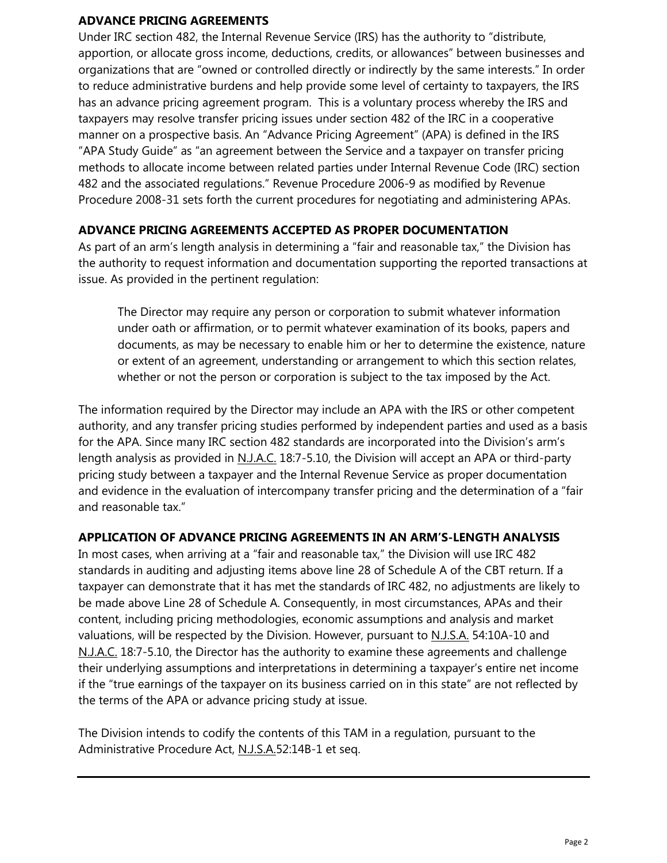### **ADVANCE PRICING AGREEMENTS**

Under IRC section 482, the Internal Revenue Service (IRS) has the authority to "distribute, apportion, or allocate gross income, deductions, credits, or allowances" between businesses and organizations that are "owned or controlled directly or indirectly by the same interests." In order to reduce administrative burdens and help provide some level of certainty to taxpayers, the IRS has an advance pricing agreement program. This is a voluntary process whereby the IRS and taxpayers may resolve transfer pricing issues under section 482 of the IRC in a cooperative manner on a prospective basis. An "Advance Pricing Agreement" (APA) is defined in the IRS "APA Study Guide" as "an agreement between the Service and a taxpayer on transfer pricing methods to allocate income between related parties under Internal Revenue Code (IRC) section 482 and the associated regulations." Revenue Procedure 2006-9 as modified by Revenue Procedure 2008-31 sets forth the current procedures for negotiating and administering APAs.

# **ADVANCE PRICING AGREEMENTS ACCEPTED AS PROPER DOCUMENTATION**

As part of an arm's length analysis in determining a "fair and reasonable tax," the Division has the authority to request information and documentation supporting the reported transactions at issue. As provided in the pertinent regulation:

The Director may require any person or corporation to submit whatever information under oath or affirmation, or to permit whatever examination of its books, papers and documents, as may be necessary to enable him or her to determine the existence, nature or extent of an agreement, understanding or arrangement to which this section relates, whether or not the person or corporation is subject to the tax imposed by the Act.

The information required by the Director may include an APA with the IRS or other competent authority, and any transfer pricing studies performed by independent parties and used as a basis for the APA. Since many IRC section 482 standards are incorporated into the Division's arm's length analysis as provided in N.J.A.C. 18:7-5.10, the Division will accept an APA or third-party pricing study between a taxpayer and the Internal Revenue Service as proper documentation and evidence in the evaluation of intercompany transfer pricing and the determination of a "fair and reasonable tax."

## **APPLICATION OF ADVANCE PRICING AGREEMENTS IN AN ARM'S-LENGTH ANALYSIS**

In most cases, when arriving at a "fair and reasonable tax," the Division will use IRC 482 standards in auditing and adjusting items above line 28 of Schedule A of the CBT return. If a taxpayer can demonstrate that it has met the standards of IRC 482, no adjustments are likely to be made above Line 28 of Schedule A. Consequently, in most circumstances, APAs and their content, including pricing methodologies, economic assumptions and analysis and market valuations, will be respected by the Division. However, pursuant to N.J.S.A. 54:10A-10 and N.J.A.C. 18:7-5.10, the Director has the authority to examine these agreements and challenge their underlying assumptions and interpretations in determining a taxpayer's entire net income if the "true earnings of the taxpayer on its business carried on in this state" are not reflected by the terms of the APA or advance pricing study at issue.

The Division intends to codify the contents of this TAM in a regulation, pursuant to the Administrative Procedure Act, N.J.S.A.52:14B-1 et seq.